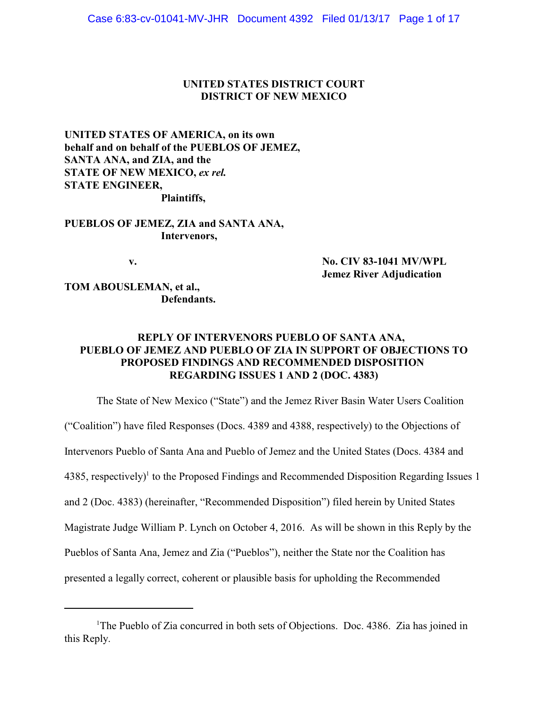# **UNITED STATES DISTRICT COURT DISTRICT OF NEW MEXICO**

**UNITED STATES OF AMERICA, on its own behalf and on behalf of the PUEBLOS OF JEMEZ, SANTA ANA, and ZIA, and the STATE OF NEW MEXICO, ex rel. STATE ENGINEER, Plaintiffs,**

**PUEBLOS OF JEMEZ, ZIA and SANTA ANA, Intervenors,**

**v. No. CIV 83-1041 MV/WPL Jemez River Adjudication**

**TOM ABOUSLEMAN, et al., Defendants.**

# **REPLY OF INTERVENORS PUEBLO OF SANTA ANA, PUEBLO OF JEMEZ AND PUEBLO OF ZIA IN SUPPORT OF OBJECTIONS TO PROPOSED FINDINGS AND RECOMMENDED DISPOSITION REGARDING ISSUES 1 AND 2 (DOC. 4383)**

The State of New Mexico ("State") and the Jemez River Basin Water Users Coalition ("Coalition") have filed Responses (Docs. 4389 and 4388, respectively) to the Objections of Intervenors Pueblo of Santa Ana and Pueblo of Jemez and the United States (Docs. 4384 and 4385, respectively)<sup>1</sup> to the Proposed Findings and Recommended Disposition Regarding Issues 1 and 2 (Doc. 4383) (hereinafter, "Recommended Disposition") filed herein by United States Magistrate Judge William P. Lynch on October 4, 2016. As will be shown in this Reply by the Pueblos of Santa Ana, Jemez and Zia ("Pueblos"), neither the State nor the Coalition has presented a legally correct, coherent or plausible basis for upholding the Recommended

<sup>&</sup>lt;sup>1</sup>The Pueblo of Zia concurred in both sets of Objections. Doc. 4386. Zia has joined in this Reply.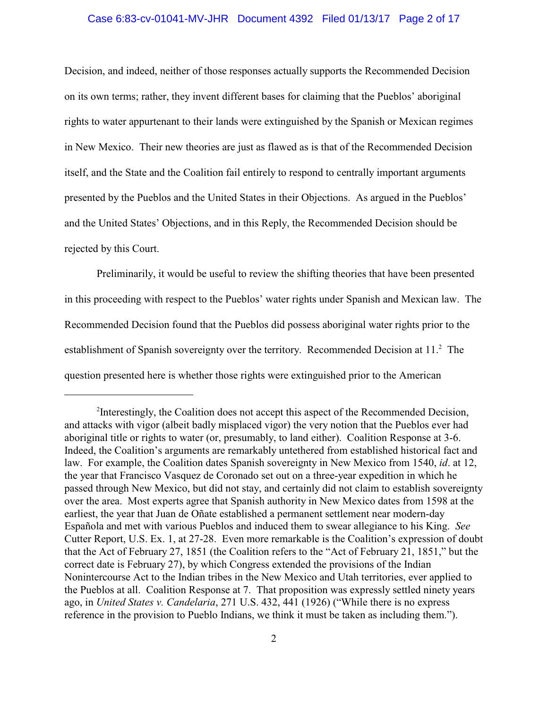#### Case 6:83-cv-01041-MV-JHR Document 4392 Filed 01/13/17 Page 2 of 17

Decision, and indeed, neither of those responses actually supports the Recommended Decision on its own terms; rather, they invent different bases for claiming that the Pueblos' aboriginal rights to water appurtenant to their lands were extinguished by the Spanish or Mexican regimes in New Mexico. Their new theories are just as flawed as is that of the Recommended Decision itself, and the State and the Coalition fail entirely to respond to centrally important arguments presented by the Pueblos and the United States in their Objections. As argued in the Pueblos' and the United States' Objections, and in this Reply, the Recommended Decision should be rejected by this Court.

Preliminarily, it would be useful to review the shifting theories that have been presented in this proceeding with respect to the Pueblos' water rights under Spanish and Mexican law. The Recommended Decision found that the Pueblos did possess aboriginal water rights prior to the establishment of Spanish sovereignty over the territory. Recommended Decision at 11.<sup>2</sup> The question presented here is whether those rights were extinguished prior to the American

<sup>&</sup>lt;sup>2</sup>Interestingly, the Coalition does not accept this aspect of the Recommended Decision, and attacks with vigor (albeit badly misplaced vigor) the very notion that the Pueblos ever had aboriginal title or rights to water (or, presumably, to land either). Coalition Response at 3-6. Indeed, the Coalition's arguments are remarkably untethered from established historical fact and law. For example, the Coalition dates Spanish sovereignty in New Mexico from 1540, *id*. at 12, the year that Francisco Vasquez de Coronado set out on a three-year expedition in which he passed through New Mexico, but did not stay, and certainly did not claim to establish sovereignty over the area. Most experts agree that Spanish authority in New Mexico dates from 1598 at the earliest, the year that Juan de Oñate established a permanent settlement near modern-day Española and met with various Pueblos and induced them to swear allegiance to his King. *See* Cutter Report, U.S. Ex. 1, at 27-28. Even more remarkable is the Coalition's expression of doubt that the Act of February 27, 1851 (the Coalition refers to the "Act of February 21, 1851," but the correct date is February 27), by which Congress extended the provisions of the Indian Nonintercourse Act to the Indian tribes in the New Mexico and Utah territories, ever applied to the Pueblos at all. Coalition Response at 7. That proposition was expressly settled ninety years ago, in *United States v. Candelaria*, 271 U.S. 432, 441 (1926) ("While there is no express reference in the provision to Pueblo Indians, we think it must be taken as including them.").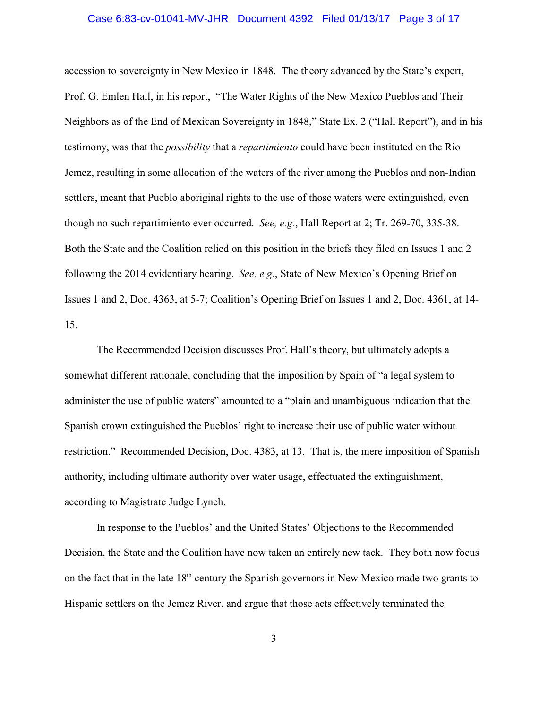#### Case 6:83-cv-01041-MV-JHR Document 4392 Filed 01/13/17 Page 3 of 17

accession to sovereignty in New Mexico in 1848. The theory advanced by the State's expert, Prof. G. Emlen Hall, in his report, "The Water Rights of the New Mexico Pueblos and Their Neighbors as of the End of Mexican Sovereignty in 1848," State Ex. 2 ("Hall Report"), and in his testimony, was that the *possibility* that a *repartimiento* could have been instituted on the Rio Jemez, resulting in some allocation of the waters of the river among the Pueblos and non-Indian settlers, meant that Pueblo aboriginal rights to the use of those waters were extinguished, even though no such repartimiento ever occurred. *See, e.g.*, Hall Report at 2; Tr. 269-70, 335-38. Both the State and the Coalition relied on this position in the briefs they filed on Issues 1 and 2 following the 2014 evidentiary hearing. *See, e.g.*, State of New Mexico's Opening Brief on Issues 1 and 2, Doc. 4363, at 5-7; Coalition's Opening Brief on Issues 1 and 2, Doc. 4361, at 14- 15.

The Recommended Decision discusses Prof. Hall's theory, but ultimately adopts a somewhat different rationale, concluding that the imposition by Spain of "a legal system to administer the use of public waters" amounted to a "plain and unambiguous indication that the Spanish crown extinguished the Pueblos' right to increase their use of public water without restriction." Recommended Decision, Doc. 4383, at 13. That is, the mere imposition of Spanish authority, including ultimate authority over water usage, effectuated the extinguishment, according to Magistrate Judge Lynch.

In response to the Pueblos' and the United States' Objections to the Recommended Decision, the State and the Coalition have now taken an entirely new tack. They both now focus on the fact that in the late  $18<sup>th</sup>$  century the Spanish governors in New Mexico made two grants to Hispanic settlers on the Jemez River, and argue that those acts effectively terminated the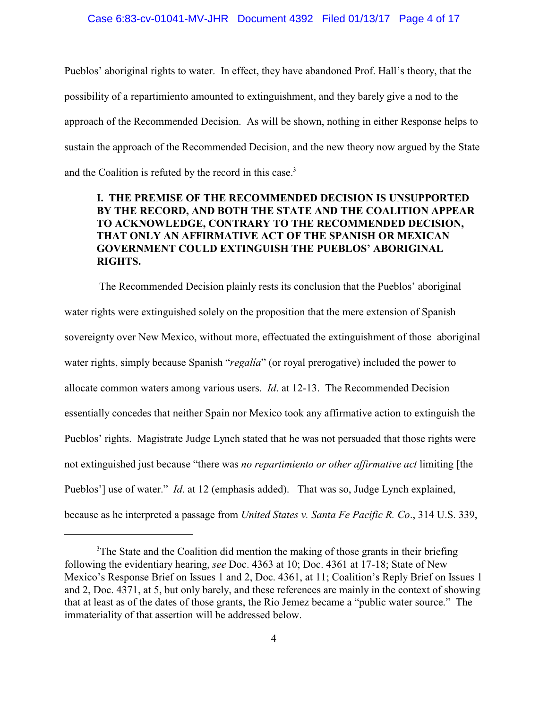Pueblos' aboriginal rights to water. In effect, they have abandoned Prof. Hall's theory, that the possibility of a repartimiento amounted to extinguishment, and they barely give a nod to the approach of the Recommended Decision. As will be shown, nothing in either Response helps to sustain the approach of the Recommended Decision, and the new theory now argued by the State and the Coalition is refuted by the record in this case.<sup>3</sup>

# **I. THE PREMISE OF THE RECOMMENDED DECISION IS UNSUPPORTED BY THE RECORD, AND BOTH THE STATE AND THE COALITION APPEAR TO ACKNOWLEDGE, CONTRARY TO THE RECOMMENDED DECISION, THAT ONLY AN AFFIRMATIVE ACT OF THE SPANISH OR MEXICAN GOVERNMENT COULD EXTINGUISH THE PUEBLOS' ABORIGINAL RIGHTS.**

 The Recommended Decision plainly rests its conclusion that the Pueblos' aboriginal water rights were extinguished solely on the proposition that the mere extension of Spanish sovereignty over New Mexico, without more, effectuated the extinguishment of those aboriginal water rights, simply because Spanish "*regalía*" (or royal prerogative) included the power to allocate common waters among various users. *Id*. at 12-13. The Recommended Decision essentially concedes that neither Spain nor Mexico took any affirmative action to extinguish the Pueblos' rights. Magistrate Judge Lynch stated that he was not persuaded that those rights were not extinguished just because "there was *no repartimiento or other affirmative act* limiting [the Pueblos'] use of water." *Id.* at 12 (emphasis added). That was so, Judge Lynch explained, because as he interpreted a passage from *United States v. Santa Fe Pacific R. Co*., 314 U.S. 339,

<sup>&</sup>lt;sup>3</sup>The State and the Coalition did mention the making of those grants in their briefing following the evidentiary hearing, *see* Doc. 4363 at 10; Doc. 4361 at 17-18; State of New Mexico's Response Brief on Issues 1 and 2, Doc. 4361, at 11; Coalition's Reply Brief on Issues 1 and 2, Doc. 4371, at 5, but only barely, and these references are mainly in the context of showing that at least as of the dates of those grants, the Rio Jemez became a "public water source." The immateriality of that assertion will be addressed below.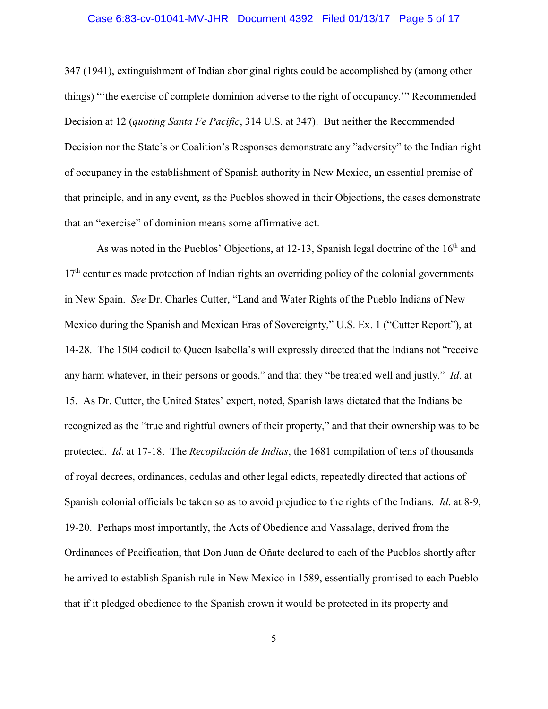### Case 6:83-cv-01041-MV-JHR Document 4392 Filed 01/13/17 Page 5 of 17

347 (1941), extinguishment of Indian aboriginal rights could be accomplished by (among other things) "'the exercise of complete dominion adverse to the right of occupancy.'" Recommended Decision at 12 (*quoting Santa Fe Pacific*, 314 U.S. at 347). But neither the Recommended Decision nor the State's or Coalition's Responses demonstrate any "adversity" to the Indian right of occupancy in the establishment of Spanish authority in New Mexico, an essential premise of that principle, and in any event, as the Pueblos showed in their Objections, the cases demonstrate that an "exercise" of dominion means some affirmative act.

As was noted in the Pueblos' Objections, at 12-13, Spanish legal doctrine of the  $16<sup>th</sup>$  and  $17<sup>th</sup>$  centuries made protection of Indian rights an overriding policy of the colonial governments in New Spain. *See* Dr. Charles Cutter, "Land and Water Rights of the Pueblo Indians of New Mexico during the Spanish and Mexican Eras of Sovereignty," U.S. Ex. 1 ("Cutter Report"), at 14-28. The 1504 codicil to Queen Isabella's will expressly directed that the Indians not "receive any harm whatever, in their persons or goods," and that they "be treated well and justly." *Id*. at 15. As Dr. Cutter, the United States' expert, noted, Spanish laws dictated that the Indians be recognized as the "true and rightful owners of their property," and that their ownership was to be protected. *Id*. at 17-18. The *Recopilación de Indias*, the 1681 compilation of tens of thousands of royal decrees, ordinances, cedulas and other legal edicts, repeatedly directed that actions of Spanish colonial officials be taken so as to avoid prejudice to the rights of the Indians. *Id*. at 8-9, 19-20. Perhaps most importantly, the Acts of Obedience and Vassalage, derived from the Ordinances of Pacification, that Don Juan de Oñate declared to each of the Pueblos shortly after he arrived to establish Spanish rule in New Mexico in 1589, essentially promised to each Pueblo that if it pledged obedience to the Spanish crown it would be protected in its property and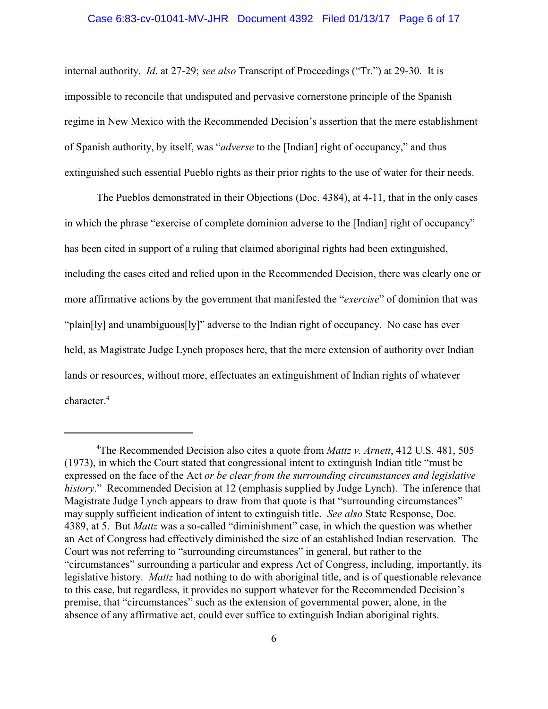#### Case 6:83-cv-01041-MV-JHR Document 4392 Filed 01/13/17 Page 6 of 17

internal authority. *Id*. at 27-29; *see also* Transcript of Proceedings ("Tr.") at 29-30. It is impossible to reconcile that undisputed and pervasive cornerstone principle of the Spanish regime in New Mexico with the Recommended Decision's assertion that the mere establishment of Spanish authority, by itself, was "*adverse* to the [Indian] right of occupancy," and thus extinguished such essential Pueblo rights as their prior rights to the use of water for their needs.

The Pueblos demonstrated in their Objections (Doc. 4384), at 4-11, that in the only cases in which the phrase "exercise of complete dominion adverse to the [Indian] right of occupancy" has been cited in support of a ruling that claimed aboriginal rights had been extinguished, including the cases cited and relied upon in the Recommended Decision, there was clearly one or more affirmative actions by the government that manifested the "*exercise*" of dominion that was "plain[ly] and unambiguous[ly]" adverse to the Indian right of occupancy. No case has ever held, as Magistrate Judge Lynch proposes here, that the mere extension of authority over Indian lands or resources, without more, effectuates an extinguishment of Indian rights of whatever character.<sup>4</sup>

The Recommended Decision also cites a quote from *Mattz v. Arnett*, 412 U.S. 481, 505 <sup>4</sup> (1973), in which the Court stated that congressional intent to extinguish Indian title "must be expressed on the face of the Act *or be clear from the surrounding circumstances and legislative history*." Recommended Decision at 12 (emphasis supplied by Judge Lynch). The inference that Magistrate Judge Lynch appears to draw from that quote is that "surrounding circumstances" may supply sufficient indication of intent to extinguish title. *See also* State Response, Doc. 4389, at 5. But *Mattz* was a so-called "diminishment" case, in which the question was whether an Act of Congress had effectively diminished the size of an established Indian reservation. The Court was not referring to "surrounding circumstances" in general, but rather to the "circumstances" surrounding a particular and express Act of Congress, including, importantly, its legislative history. *Mattz* had nothing to do with aboriginal title, and is of questionable relevance to this case, but regardless, it provides no support whatever for the Recommended Decision's premise, that "circumstances" such as the extension of governmental power, alone, in the absence of any affirmative act, could ever suffice to extinguish Indian aboriginal rights.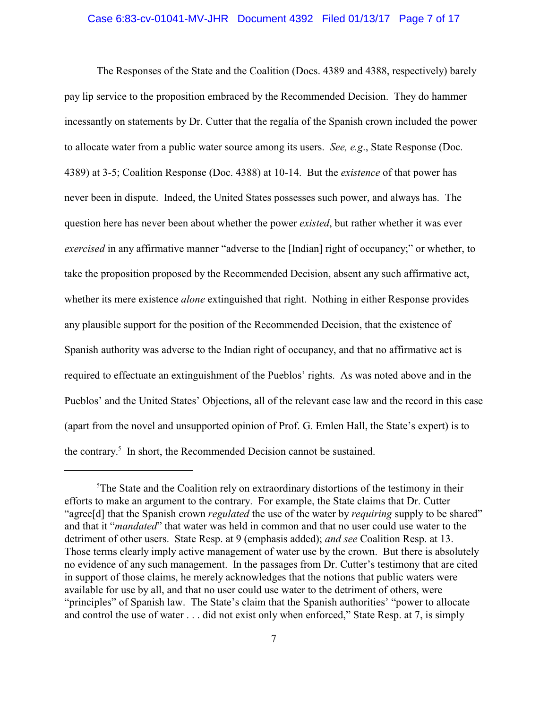### Case 6:83-cv-01041-MV-JHR Document 4392 Filed 01/13/17 Page 7 of 17

The Responses of the State and the Coalition (Docs. 4389 and 4388, respectively) barely pay lip service to the proposition embraced by the Recommended Decision. They do hammer incessantly on statements by Dr. Cutter that the regalía of the Spanish crown included the power to allocate water from a public water source among its users. *See, e.g*., State Response (Doc. 4389) at 3-5; Coalition Response (Doc. 4388) at 10-14. But the *existence* of that power has never been in dispute. Indeed, the United States possesses such power, and always has. The question here has never been about whether the power *existed*, but rather whether it was ever *exercised* in any affirmative manner "adverse to the [Indian] right of occupancy;" or whether, to take the proposition proposed by the Recommended Decision, absent any such affirmative act, whether its mere existence *alone* extinguished that right. Nothing in either Response provides any plausible support for the position of the Recommended Decision, that the existence of Spanish authority was adverse to the Indian right of occupancy, and that no affirmative act is required to effectuate an extinguishment of the Pueblos' rights. As was noted above and in the Pueblos' and the United States' Objections, all of the relevant case law and the record in this case (apart from the novel and unsupported opinion of Prof. G. Emlen Hall, the State's expert) is to the contrary. $5$  In short, the Recommended Decision cannot be sustained.

 $5$ The State and the Coalition rely on extraordinary distortions of the testimony in their efforts to make an argument to the contrary. For example, the State claims that Dr. Cutter "agree[d] that the Spanish crown *regulated* the use of the water by *requiring* supply to be shared" and that it "*mandated*" that water was held in common and that no user could use water to the detriment of other users. State Resp. at 9 (emphasis added); *and see* Coalition Resp. at 13. Those terms clearly imply active management of water use by the crown. But there is absolutely no evidence of any such management. In the passages from Dr. Cutter's testimony that are cited in support of those claims, he merely acknowledges that the notions that public waters were available for use by all, and that no user could use water to the detriment of others, were "principles" of Spanish law. The State's claim that the Spanish authorities' "power to allocate and control the use of water . . . did not exist only when enforced," State Resp. at 7, is simply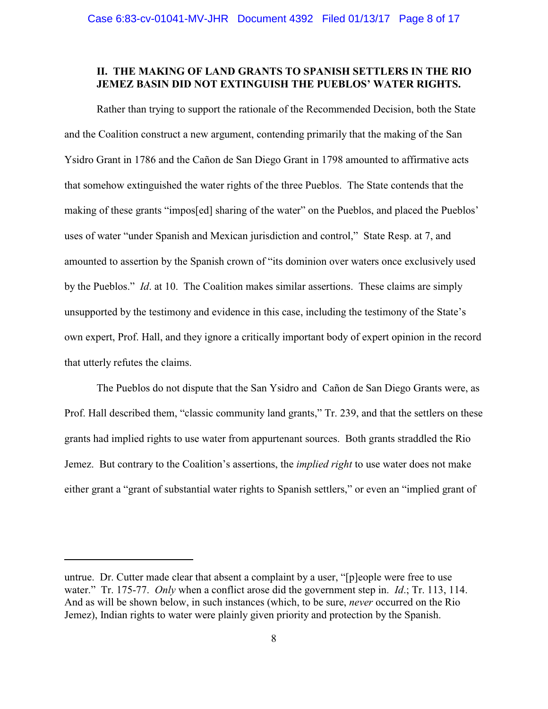## **II. THE MAKING OF LAND GRANTS TO SPANISH SETTLERS IN THE RIO JEMEZ BASIN DID NOT EXTINGUISH THE PUEBLOS' WATER RIGHTS.**

Rather than trying to support the rationale of the Recommended Decision, both the State and the Coalition construct a new argument, contending primarily that the making of the San Ysidro Grant in 1786 and the Cañon de San Diego Grant in 1798 amounted to affirmative acts that somehow extinguished the water rights of the three Pueblos. The State contends that the making of these grants "impos[ed] sharing of the water" on the Pueblos, and placed the Pueblos' uses of water "under Spanish and Mexican jurisdiction and control," State Resp. at 7, and amounted to assertion by the Spanish crown of "its dominion over waters once exclusively used by the Pueblos." *Id*. at 10. The Coalition makes similar assertions. These claims are simply unsupported by the testimony and evidence in this case, including the testimony of the State's own expert, Prof. Hall, and they ignore a critically important body of expert opinion in the record that utterly refutes the claims.

The Pueblos do not dispute that the San Ysidro and Cañon de San Diego Grants were, as Prof. Hall described them, "classic community land grants," Tr. 239, and that the settlers on these grants had implied rights to use water from appurtenant sources. Both grants straddled the Rio Jemez. But contrary to the Coalition's assertions, the *implied right* to use water does not make either grant a "grant of substantial water rights to Spanish settlers," or even an "implied grant of

untrue. Dr. Cutter made clear that absent a complaint by a user, "[p]eople were free to use water." Tr. 175-77. *Only* when a conflict arose did the government step in. *Id*.; Tr. 113, 114. And as will be shown below, in such instances (which, to be sure, *never* occurred on the Rio Jemez), Indian rights to water were plainly given priority and protection by the Spanish.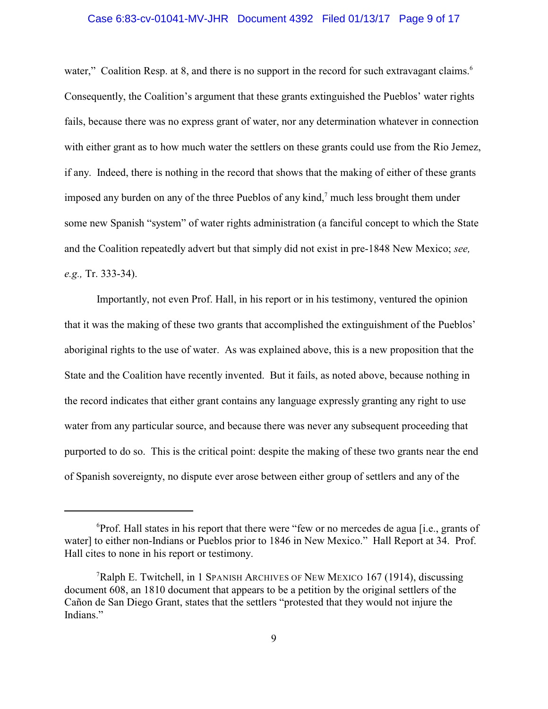#### Case 6:83-cv-01041-MV-JHR Document 4392 Filed 01/13/17 Page 9 of 17

water," Coalition Resp. at 8, and there is no support in the record for such extravagant claims.<sup>6</sup> Consequently, the Coalition's argument that these grants extinguished the Pueblos' water rights fails, because there was no express grant of water, nor any determination whatever in connection with either grant as to how much water the settlers on these grants could use from the Rio Jemez, if any. Indeed, there is nothing in the record that shows that the making of either of these grants imposed any burden on any of the three Pueblos of any kind, $<sup>7</sup>$  much less brought them under</sup> some new Spanish "system" of water rights administration (a fanciful concept to which the State and the Coalition repeatedly advert but that simply did not exist in pre-1848 New Mexico; *see, e.g.,* Tr. 333-34).

Importantly, not even Prof. Hall, in his report or in his testimony, ventured the opinion that it was the making of these two grants that accomplished the extinguishment of the Pueblos' aboriginal rights to the use of water. As was explained above, this is a new proposition that the State and the Coalition have recently invented. But it fails, as noted above, because nothing in the record indicates that either grant contains any language expressly granting any right to use water from any particular source, and because there was never any subsequent proceeding that purported to do so. This is the critical point: despite the making of these two grants near the end of Spanish sovereignty, no dispute ever arose between either group of settlers and any of the

 ${}^{6}$ Prof. Hall states in his report that there were "few or no mercedes de agua [i.e., grants of water] to either non-Indians or Pueblos prior to 1846 in New Mexico." Hall Report at 34. Prof. Hall cites to none in his report or testimony.

<sup>&</sup>lt;sup>7</sup>Ralph E. Twitchell, in 1 SPANISH ARCHIVES OF NEW MEXICO 167 (1914), discussing document 608, an 1810 document that appears to be a petition by the original settlers of the Cañon de San Diego Grant, states that the settlers "protested that they would not injure the Indians."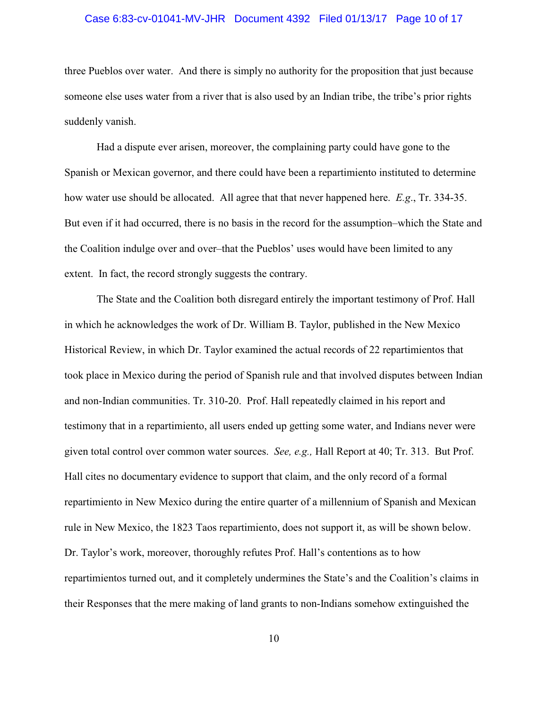#### Case 6:83-cv-01041-MV-JHR Document 4392 Filed 01/13/17 Page 10 of 17

three Pueblos over water. And there is simply no authority for the proposition that just because someone else uses water from a river that is also used by an Indian tribe, the tribe's prior rights suddenly vanish.

Had a dispute ever arisen, moreover, the complaining party could have gone to the Spanish or Mexican governor, and there could have been a repartimiento instituted to determine how water use should be allocated. All agree that that never happened here. *E.g*., Tr. 334-35. But even if it had occurred, there is no basis in the record for the assumption–which the State and the Coalition indulge over and over–that the Pueblos' uses would have been limited to any extent. In fact, the record strongly suggests the contrary.

The State and the Coalition both disregard entirely the important testimony of Prof. Hall in which he acknowledges the work of Dr. William B. Taylor, published in the New Mexico Historical Review, in which Dr. Taylor examined the actual records of 22 repartimientos that took place in Mexico during the period of Spanish rule and that involved disputes between Indian and non-Indian communities. Tr. 310-20. Prof. Hall repeatedly claimed in his report and testimony that in a repartimiento, all users ended up getting some water, and Indians never were given total control over common water sources. *See, e.g.,* Hall Report at 40; Tr. 313. But Prof. Hall cites no documentary evidence to support that claim, and the only record of a formal repartimiento in New Mexico during the entire quarter of a millennium of Spanish and Mexican rule in New Mexico, the 1823 Taos repartimiento, does not support it, as will be shown below. Dr. Taylor's work, moreover, thoroughly refutes Prof. Hall's contentions as to how repartimientos turned out, and it completely undermines the State's and the Coalition's claims in their Responses that the mere making of land grants to non-Indians somehow extinguished the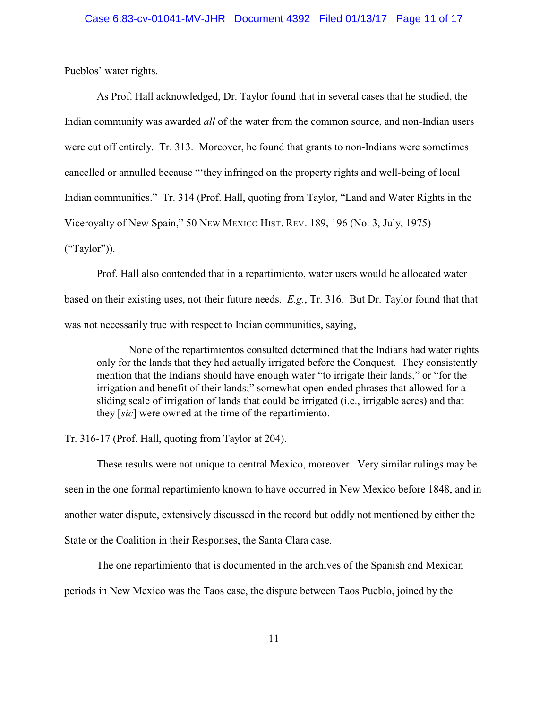Pueblos' water rights.

As Prof. Hall acknowledged, Dr. Taylor found that in several cases that he studied, the Indian community was awarded *all* of the water from the common source, and non-Indian users were cut off entirely. Tr. 313. Moreover, he found that grants to non-Indians were sometimes cancelled or annulled because "'they infringed on the property rights and well-being of local Indian communities." Tr. 314 (Prof. Hall, quoting from Taylor, "Land and Water Rights in the Viceroyalty of New Spain," 50 NEW MEXICO HIST. REV. 189, 196 (No. 3, July, 1975) ("Taylor")).

Prof. Hall also contended that in a repartimiento, water users would be allocated water based on their existing uses, not their future needs. *E.g.*, Tr. 316. But Dr. Taylor found that that was not necessarily true with respect to Indian communities, saying,

None of the repartimientos consulted determined that the Indians had water rights only for the lands that they had actually irrigated before the Conquest. They consistently mention that the Indians should have enough water "to irrigate their lands," or "for the irrigation and benefit of their lands;" somewhat open-ended phrases that allowed for a sliding scale of irrigation of lands that could be irrigated (i.e., irrigable acres) and that they [*sic*] were owned at the time of the repartimiento.

Tr. 316-17 (Prof. Hall, quoting from Taylor at 204).

These results were not unique to central Mexico, moreover. Very similar rulings may be seen in the one formal repartimiento known to have occurred in New Mexico before 1848, and in another water dispute, extensively discussed in the record but oddly not mentioned by either the State or the Coalition in their Responses, the Santa Clara case.

The one repartimiento that is documented in the archives of the Spanish and Mexican periods in New Mexico was the Taos case, the dispute between Taos Pueblo, joined by the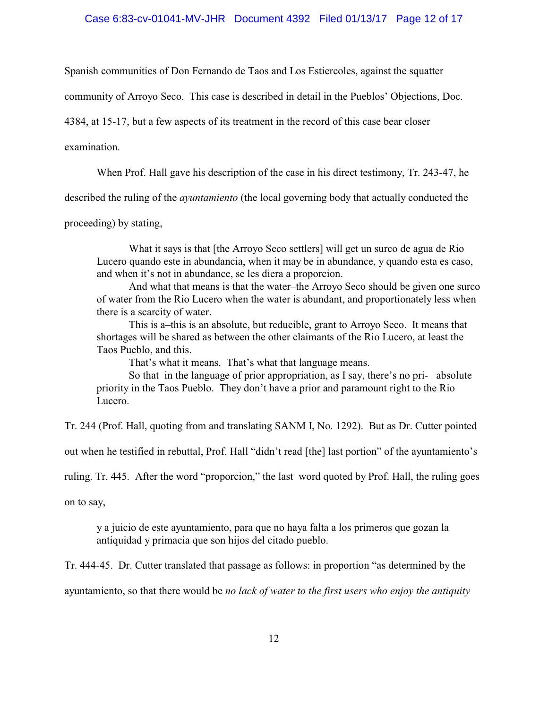### Case 6:83-cv-01041-MV-JHR Document 4392 Filed 01/13/17 Page 12 of 17

Spanish communities of Don Fernando de Taos and Los Estiercoles, against the squatter

community of Arroyo Seco. This case is described in detail in the Pueblos' Objections, Doc.

4384, at 15-17, but a few aspects of its treatment in the record of this case bear closer

examination.

When Prof. Hall gave his description of the case in his direct testimony, Tr. 243-47, he

described the ruling of the *ayuntamiento* (the local governing body that actually conducted the

proceeding) by stating,

What it says is that [the Arroyo Seco settlers] will get un surco de agua de Rio Lucero quando este in abundancia, when it may be in abundance, y quando esta es caso, and when it's not in abundance, se les diera a proporcion.

And what that means is that the water–the Arroyo Seco should be given one surco of water from the Rio Lucero when the water is abundant, and proportionately less when there is a scarcity of water.

This is a–this is an absolute, but reducible, grant to Arroyo Seco. It means that shortages will be shared as between the other claimants of the Rio Lucero, at least the Taos Pueblo, and this.

That's what it means. That's what that language means.

So that–in the language of prior appropriation, as I say, there's no pri- –absolute priority in the Taos Pueblo. They don't have a prior and paramount right to the Rio Lucero.

Tr. 244 (Prof. Hall, quoting from and translating SANM I, No. 1292). But as Dr. Cutter pointed

out when he testified in rebuttal, Prof. Hall "didn't read [the] last portion" of the ayuntamiento's

ruling. Tr. 445. After the word "proporcion," the last word quoted by Prof. Hall, the ruling goes

on to say,

y a juicio de este ayuntamiento, para que no haya falta a los primeros que gozan la antiquidad y primacia que son hijos del citado pueblo.

Tr. 444-45. Dr. Cutter translated that passage as follows: in proportion "as determined by the

ayuntamiento, so that there would be *no lack of water to the first users who enjoy the antiquity*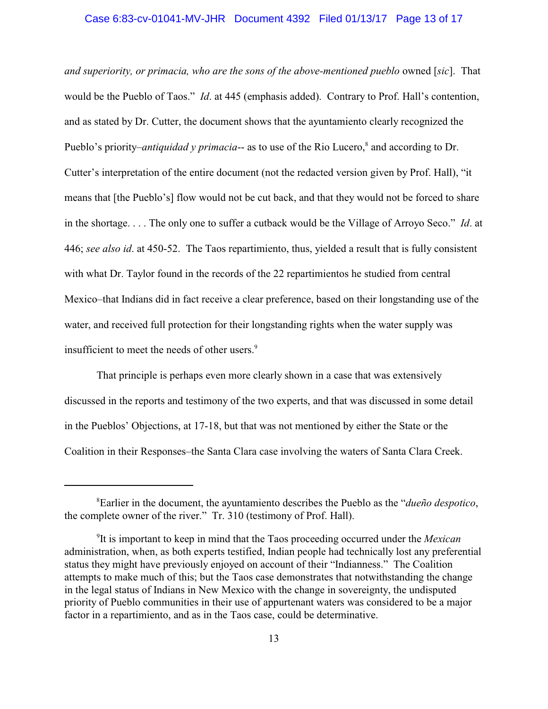### Case 6:83-cv-01041-MV-JHR Document 4392 Filed 01/13/17 Page 13 of 17

*and superiority, or primacia, who are the sons of the above-mentioned pueblo* owned [*sic*]. That would be the Pueblo of Taos." *Id*. at 445 (emphasis added). Contrary to Prof. Hall's contention, and as stated by Dr. Cutter, the document shows that the ayuntamiento clearly recognized the Pueblo's priority–*antiquidad y primacia*-- as to use of the Rio Lucero,<sup>8</sup> and according to Dr. Cutter's interpretation of the entire document (not the redacted version given by Prof. Hall), "it means that [the Pueblo's] flow would not be cut back, and that they would not be forced to share in the shortage. . . . The only one to suffer a cutback would be the Village of Arroyo Seco." *Id*. at 446; *see also id*. at 450-52. The Taos repartimiento, thus, yielded a result that is fully consistent with what Dr. Taylor found in the records of the 22 repartimientos he studied from central Mexico–that Indians did in fact receive a clear preference, based on their longstanding use of the water, and received full protection for their longstanding rights when the water supply was insufficient to meet the needs of other users.<sup>9</sup>

That principle is perhaps even more clearly shown in a case that was extensively discussed in the reports and testimony of the two experts, and that was discussed in some detail in the Pueblos' Objections, at 17-18, but that was not mentioned by either the State or the Coalition in their Responses–the Santa Clara case involving the waters of Santa Clara Creek.

Earlier in the document, the ayuntamiento describes the Pueblo as the "*dueño despotico*, 8 the complete owner of the river." Tr. 310 (testimony of Prof. Hall).

It is important to keep in mind that the Taos proceeding occurred under the *Mexican* <sup>9</sup> administration, when, as both experts testified, Indian people had technically lost any preferential status they might have previously enjoyed on account of their "Indianness." The Coalition attempts to make much of this; but the Taos case demonstrates that notwithstanding the change in the legal status of Indians in New Mexico with the change in sovereignty, the undisputed priority of Pueblo communities in their use of appurtenant waters was considered to be a major factor in a repartimiento, and as in the Taos case, could be determinative.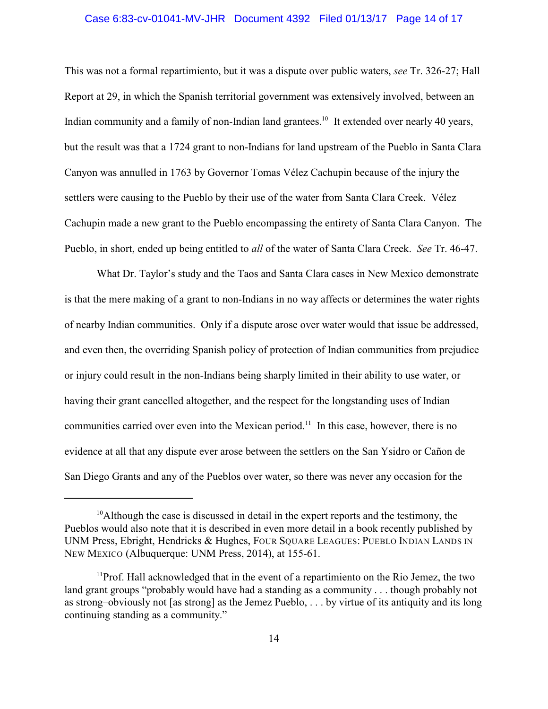#### Case 6:83-cv-01041-MV-JHR Document 4392 Filed 01/13/17 Page 14 of 17

This was not a formal repartimiento, but it was a dispute over public waters, *see* Tr. 326-27; Hall Report at 29, in which the Spanish territorial government was extensively involved, between an Indian community and a family of non-Indian land grantees.<sup>10</sup> It extended over nearly 40 years, but the result was that a 1724 grant to non-Indians for land upstream of the Pueblo in Santa Clara Canyon was annulled in 1763 by Governor Tomas Vélez Cachupin because of the injury the settlers were causing to the Pueblo by their use of the water from Santa Clara Creek. Vélez Cachupin made a new grant to the Pueblo encompassing the entirety of Santa Clara Canyon. The Pueblo, in short, ended up being entitled to *all* of the water of Santa Clara Creek. *See* Tr. 46-47.

What Dr. Taylor's study and the Taos and Santa Clara cases in New Mexico demonstrate is that the mere making of a grant to non-Indians in no way affects or determines the water rights of nearby Indian communities. Only if a dispute arose over water would that issue be addressed, and even then, the overriding Spanish policy of protection of Indian communities from prejudice or injury could result in the non-Indians being sharply limited in their ability to use water, or having their grant cancelled altogether, and the respect for the longstanding uses of Indian communities carried over even into the Mexican period.<sup>11</sup> In this case, however, there is no evidence at all that any dispute ever arose between the settlers on the San Ysidro or Cañon de San Diego Grants and any of the Pueblos over water, so there was never any occasion for the

 $^{10}$ Although the case is discussed in detail in the expert reports and the testimony, the Pueblos would also note that it is described in even more detail in a book recently published by UNM Press, Ebright, Hendricks & Hughes, FOUR SQUARE LEAGUES: PUEBLO INDIAN LANDS IN NEW MEXICO (Albuquerque: UNM Press, 2014), at 155-61.

 $1^{11}$ Prof. Hall acknowledged that in the event of a repartimiento on the Rio Jemez, the two land grant groups "probably would have had a standing as a community . . . though probably not as strong–obviously not [as strong] as the Jemez Pueblo, . . . by virtue of its antiquity and its long continuing standing as a community."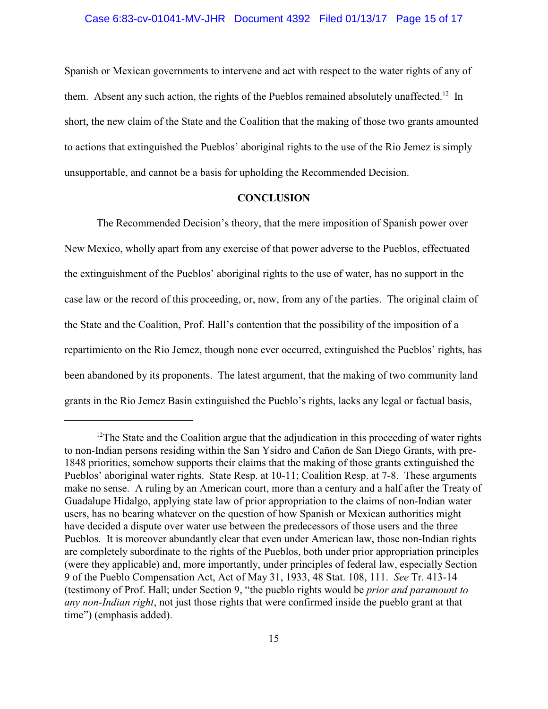Spanish or Mexican governments to intervene and act with respect to the water rights of any of them. Absent any such action, the rights of the Pueblos remained absolutely unaffected.<sup>12</sup> In short, the new claim of the State and the Coalition that the making of those two grants amounted to actions that extinguished the Pueblos' aboriginal rights to the use of the Rio Jemez is simply unsupportable, and cannot be a basis for upholding the Recommended Decision.

## **CONCLUSION**

The Recommended Decision's theory, that the mere imposition of Spanish power over New Mexico, wholly apart from any exercise of that power adverse to the Pueblos, effectuated the extinguishment of the Pueblos' aboriginal rights to the use of water, has no support in the case law or the record of this proceeding, or, now, from any of the parties. The original claim of the State and the Coalition, Prof. Hall's contention that the possibility of the imposition of a repartimiento on the Rio Jemez, though none ever occurred, extinguished the Pueblos' rights, has been abandoned by its proponents. The latest argument, that the making of two community land grants in the Rio Jemez Basin extinguished the Pueblo's rights, lacks any legal or factual basis,

 $12$ The State and the Coalition argue that the adjudication in this proceeding of water rights to non-Indian persons residing within the San Ysidro and Cañon de San Diego Grants, with pre-1848 priorities, somehow supports their claims that the making of those grants extinguished the Pueblos' aboriginal water rights. State Resp. at 10-11; Coalition Resp. at 7-8. These arguments make no sense. A ruling by an American court, more than a century and a half after the Treaty of Guadalupe Hidalgo, applying state law of prior appropriation to the claims of non-Indian water users, has no bearing whatever on the question of how Spanish or Mexican authorities might have decided a dispute over water use between the predecessors of those users and the three Pueblos. It is moreover abundantly clear that even under American law, those non-Indian rights are completely subordinate to the rights of the Pueblos, both under prior appropriation principles (were they applicable) and, more importantly, under principles of federal law, especially Section 9 of the Pueblo Compensation Act, Act of May 31, 1933, 48 Stat. 108, 111. *See* Tr. 413-14 (testimony of Prof. Hall; under Section 9, "the pueblo rights would be *prior and paramount to any non-Indian right*, not just those rights that were confirmed inside the pueblo grant at that time") (emphasis added).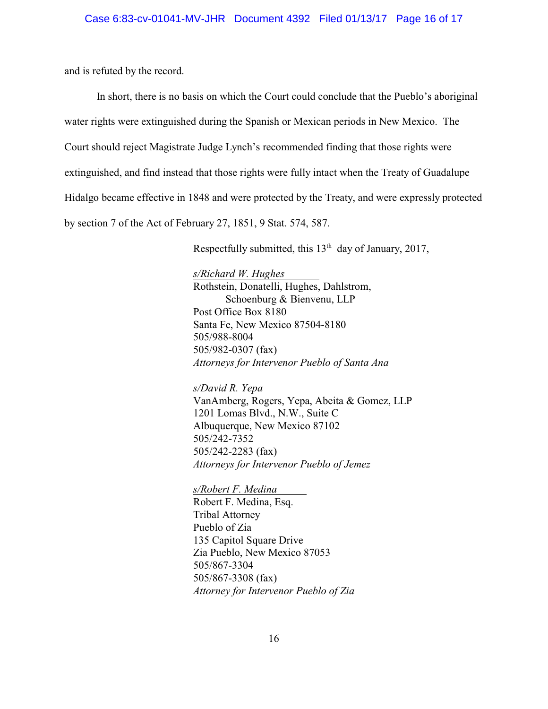and is refuted by the record.

In short, there is no basis on which the Court could conclude that the Pueblo's aboriginal water rights were extinguished during the Spanish or Mexican periods in New Mexico. The Court should reject Magistrate Judge Lynch's recommended finding that those rights were extinguished, and find instead that those rights were fully intact when the Treaty of Guadalupe Hidalgo became effective in 1848 and were protected by the Treaty, and were expressly protected by section 7 of the Act of February 27, 1851, 9 Stat. 574, 587.

Respectfully submitted, this  $13<sup>th</sup>$  day of January, 2017,

*s/Richard W. Hughes* Rothstein, Donatelli, Hughes, Dahlstrom, Schoenburg & Bienvenu, LLP Post Office Box 8180 Santa Fe, New Mexico 87504-8180 505/988-8004 505/982-0307 (fax) *Attorneys for Intervenor Pueblo of Santa Ana*

*s/David R. Yepa* VanAmberg, Rogers, Yepa, Abeita & Gomez, LLP 1201 Lomas Blvd., N.W., Suite C Albuquerque, New Mexico 87102 505/242-7352 505/242-2283 (fax) *Attorneys for Intervenor Pueblo of Jemez*

*s/Robert F. Medina* Robert F. Medina, Esq. Tribal Attorney Pueblo of Zia 135 Capitol Square Drive Zia Pueblo, New Mexico 87053 505/867-3304 505/867-3308 (fax) *Attorney for Intervenor Pueblo of Zia*